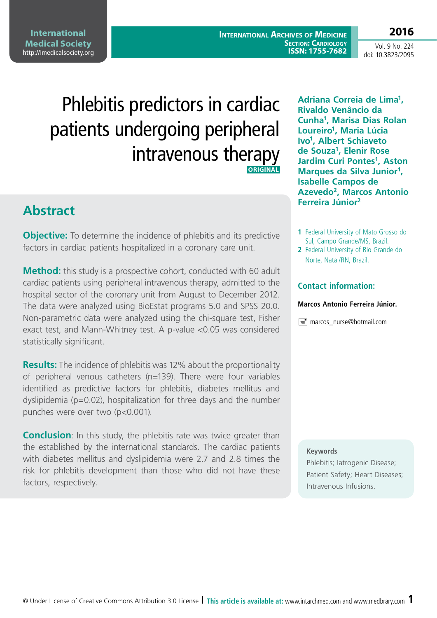**International Medical Society**  http://imedicalsociety.org

**International Archives of Medicine SECTION: CARDIOLOGY ISSN: 1755-7682**

Vol. 9 No. 224 doi: 10.3823/2095

**2016**

# Phlebitis predictors in cardiac patients undergoing peripheral intravenous therapy **ORIGINAL**

## **Abstract**

**Objective:** To determine the incidence of phlebitis and its predictive factors in cardiac patients hospitalized in a coronary care unit.

**Method:** this study is a prospective cohort, conducted with 60 adult cardiac patients using peripheral intravenous therapy, admitted to the hospital sector of the coronary unit from August to December 2012. The data were analyzed using BioEstat programs 5.0 and SPSS 20.0. Non-parametric data were analyzed using the chi-square test, Fisher exact test, and Mann-Whitney test. A p-value <0.05 was considered statistically significant.

**Results:** The incidence of phlebitis was 12% about the proportionality of peripheral venous catheters (n=139). There were four variables identified as predictive factors for phlebitis, diabetes mellitus and dyslipidemia ( $p=0.02$ ), hospitalization for three days and the number punches were over two (p<0.001).

**Conclusion**: In this study, the phlebitis rate was twice greater than the established by the international standards. The cardiac patients with diabetes mellitus and dyslipidemia were 2.7 and 2.8 times the risk for phlebitis development than those who did not have these factors, respectively.

**Adriana Correia de Lima1, Rivaldo Venâncio da Cunha1, Marisa Dias Rolan Loureiro1, Maria Lúcia Ivo1, Albert Schiaveto de Souza1, Elenir Rose Jardim Curi Pontes<sup>1</sup>, Aston Marques da Silva Junior1, Isabelle Campos de Azevedo2, Marcos Antonio Ferreira Júnior2**

- **1** Federal University of Mato Grosso do Sul, Campo Grande/MS, Brazil.
- **2** Federal University of Rio Grande do Norte, Natal/RN, Brazil.

### **Contact information:**

#### **Marcos Antonio Ferreira Júnior.**

**Fig. marcos** nurse@hotmail.com

#### **Keywords**

Phlebitis; Iatrogenic Disease; Patient Safety; Heart Diseases; Intravenous Infusions.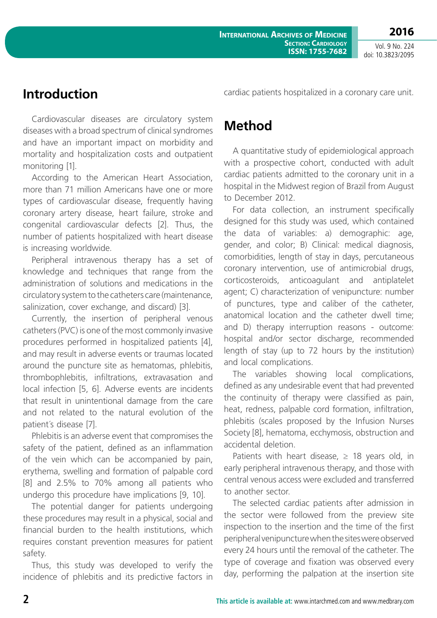# **Introduction**

Cardiovascular diseases are circulatory system diseases with a broad spectrum of clinical syndromes and have an important impact on morbidity and mortality and hospitalization costs and outpatient monitoring [1].

According to the American Heart Association, more than 71 million Americans have one or more types of cardiovascular disease, frequently having coronary artery disease, heart failure, stroke and congenital cardiovascular defects [2]. Thus, the number of patients hospitalized with heart disease is increasing worldwide.

Peripheral intravenous therapy has a set of knowledge and techniques that range from the administration of solutions and medications in the circulatory system to the catheters care (maintenance, salinization, cover exchange, and discard) [3].

Currently, the insertion of peripheral venous catheters (PVC) is one of the most commonly invasive procedures performed in hospitalized patients [4], and may result in adverse events or traumas located around the puncture site as hematomas, phlebitis, thrombophlebitis, infiltrations, extravasation and local infection [5, 6]. Adverse events are incidents that result in unintentional damage from the care and not related to the natural evolution of the patient´s disease [7].

Phlebitis is an adverse event that compromises the safety of the patient, defined as an inflammation of the vein which can be accompanied by pain, erythema, swelling and formation of palpable cord [8] and 2.5% to 70% among all patients who undergo this procedure have implications [9, 10].

The potential danger for patients undergoing these procedures may result in a physical, social and financial burden to the health institutions, which requires constant prevention measures for patient safety.

Thus, this study was developed to verify the incidence of phlebitis and its predictive factors in cardiac patients hospitalized in a coronary care unit.

# **Method**

A quantitative study of epidemiological approach with a prospective cohort, conducted with adult cardiac patients admitted to the coronary unit in a hospital in the Midwest region of Brazil from August to December 2012.

For data collection, an instrument specifically designed for this study was used, which contained the data of variables: a) demographic: age, gender, and color; B) Clinical: medical diagnosis, comorbidities, length of stay in days, percutaneous coronary intervention, use of antimicrobial drugs, corticosteroids, anticoagulant and antiplatelet agent; C) characterization of venipuncture: number of punctures, type and caliber of the catheter, anatomical location and the catheter dwell time; and D) therapy interruption reasons - outcome: hospital and/or sector discharge, recommended length of stay (up to 72 hours by the institution) and local complications.

The variables showing local complications, defined as any undesirable event that had prevented the continuity of therapy were classified as pain, heat, redness, palpable cord formation, infiltration, phlebitis (scales proposed by the Infusion Nurses Society [8], hematoma, ecchymosis, obstruction and accidental deletion.

Patients with heart disease,  $\geq$  18 years old, in early peripheral intravenous therapy, and those with central venous access were excluded and transferred to another sector.

The selected cardiac patients after admission in the sector were followed from the preview site inspection to the insertion and the time of the first peripheral venipuncture when the sites were observed every 24 hours until the removal of the catheter. The type of coverage and fixation was observed every day, performing the palpation at the insertion site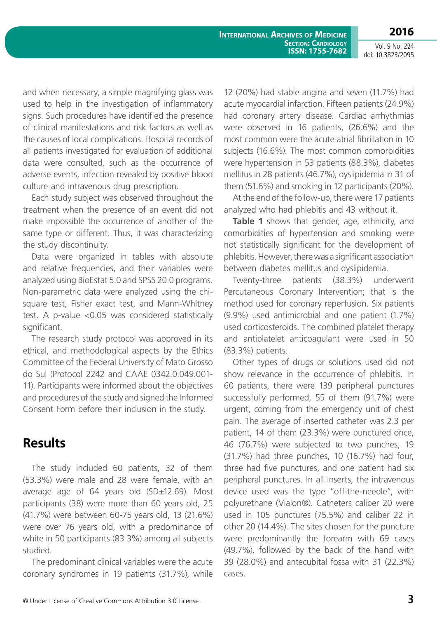**2016**

**SECTION: CARDIOLOGY ISSN: 1755-7682** 

**International Archives of Medicine**

Vol. 9 No. 224 doi: 10.3823/2095

and when necessary, a simple magnifying glass was used to help in the investigation of inflammatory signs. Such procedures have identified the presence of clinical manifestations and risk factors as well as the causes of local complications. Hospital records of all patients investigated for evaluation of additional data were consulted, such as the occurrence of adverse events, infection revealed by positive blood culture and intravenous drug prescription.

Each study subject was observed throughout the treatment when the presence of an event did not make impossible the occurrence of another of the same type or different. Thus, it was characterizing the study discontinuity.

Data were organized in tables with absolute and relative frequencies, and their variables were analyzed using BioEstat 5.0 and SPSS 20.0 programs. Non-parametric data were analyzed using the chisquare test, Fisher exact test, and Mann-Whitney test. A p-value <0.05 was considered statistically significant.

The research study protocol was approved in its ethical, and methodological aspects by the Ethics Committee of the Federal University of Mato Grosso do Sul (Protocol 2242 and CAAE 0342.0.049.001- 11). Participants were informed about the objectives and procedures of the study and signed the Informed Consent Form before their inclusion in the study.

### **Results**

The study included 60 patients, 32 of them (53.3%) were male and 28 were female, with an average age of 64 years old (SD±12.69). Most participants (38) were more than 60 years old, 25 (41.7%) were between 60-75 years old, 13 (21.6%) were over 76 years old, with a predominance of white in 50 participants (83 3%) among all subjects studied.

The predominant clinical variables were the acute coronary syndromes in 19 patients (31.7%), while 12 (20%) had stable angina and seven (11.7%) had acute myocardial infarction. Fifteen patients (24.9%) had coronary artery disease. Cardiac arrhythmias were observed in 16 patients, (26.6%) and the most common were the acute atrial fibrillation in 10 subjects (16.6%). The most common comorbidities were hypertension in 53 patients (88.3%), diabetes mellitus in 28 patients (46.7%), dyslipidemia in 31 of them (51.6%) and smoking in 12 participants (20%).

At the end of the follow-up, there were 17 patients analyzed who had phlebitis and 43 without it.

**Table 1** shows that gender, age, ethnicity, and comorbidities of hypertension and smoking were not statistically significant for the development of phlebitis. However, there was a significant association between diabetes mellitus and dyslipidemia.

Twenty-three patients (38.3%) underwent Percutaneous Coronary Intervention; that is the method used for coronary reperfusion. Six patients (9.9%) used antimicrobial and one patient (1.7%) used corticosteroids. The combined platelet therapy and antiplatelet anticoagulant were used in 50 (83.3%) patients.

Other types of drugs or solutions used did not show relevance in the occurrence of phlebitis. In 60 patients, there were 139 peripheral punctures successfully performed, 55 of them (91.7%) were urgent, coming from the emergency unit of chest pain. The average of inserted catheter was 2.3 per patient, 14 of them (23.3%) were punctured once, 46 (76.7%) were subjected to two punches, 19 (31.7%) had three punches, 10 (16.7%) had four, three had five punctures, and one patient had six peripheral punctures. In all inserts, the intravenous device used was the type "off-the-needle", with polyurethane (Vialon®). Catheters caliber 20 were used in 105 punctures (75.5%) and caliber 22 in other 20 (14.4%). The sites chosen for the puncture were predominantly the forearm with 69 cases (49.7%), followed by the back of the hand with 39 (28.0%) and antecubital fossa with 31 (22.3%) cases.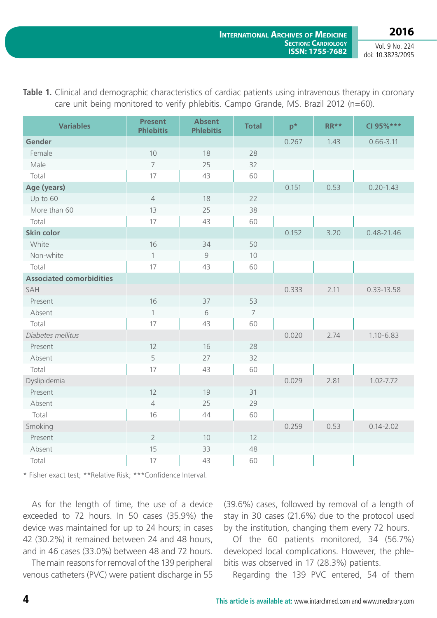| <b>Variables</b>                | <b>Present</b><br><b>Phlebitis</b> | <b>Absent</b><br><b>Phlebitis</b> | <b>Total</b>   | $p^*$ | $RR**$ | CI 95%***      |
|---------------------------------|------------------------------------|-----------------------------------|----------------|-------|--------|----------------|
| Gender                          |                                    |                                   |                | 0.267 | 1.43   | $0.66 - 3.11$  |
| Female                          | 10                                 | 18                                | 28             |       |        |                |
| Male                            | $\overline{7}$                     | 25                                | 32             |       |        |                |
| Total                           | 17                                 | 43                                | 60             |       |        |                |
| Age (years)                     |                                    |                                   |                | 0.151 | 0.53   | $0.20 - 1.43$  |
| Up to 60                        | $\overline{4}$                     | 18                                | 22             |       |        |                |
| More than 60                    | 13                                 | 25                                | 38             |       |        |                |
| Total                           | 17                                 | 43                                | 60             |       |        |                |
| <b>Skin color</b>               |                                    |                                   |                | 0.152 | 3.20   | $0.48 - 21.46$ |
| White                           | 16                                 | 34                                | 50             |       |        |                |
| Non-white                       | $\mathbf{1}$                       | 9                                 | 10             |       |        |                |
| Total                           | 17                                 | 43                                | 60             |       |        |                |
| <b>Associated comorbidities</b> |                                    |                                   |                |       |        |                |
| SAH                             |                                    |                                   |                | 0.333 | 2.11   | 0.33-13.58     |
| Present                         | 16                                 | 37                                | 53             |       |        |                |
| Absent                          | $\mathbf{1}$                       | 6                                 | $\overline{7}$ |       |        |                |
| Total                           | 17                                 | 43                                | 60             |       |        |                |
| Diabetes mellitus               |                                    |                                   |                | 0.020 | 2.74   | $1.10 - 6.83$  |
| Present                         | 12                                 | 16                                | 28             |       |        |                |
| Absent                          | 5                                  | 27                                | 32             |       |        |                |
| Total                           | 17                                 | 43                                | 60             |       |        |                |
| Dyslipidemia                    |                                    |                                   |                | 0.029 | 2.81   | 1.02-7.72      |
| Present                         | 12                                 | 19                                | 31             |       |        |                |
| Absent                          | $\overline{4}$                     | 25                                | 29             |       |        |                |
| Total                           | 16                                 | 44                                | 60             |       |        |                |
| Smoking                         |                                    |                                   |                | 0.259 | 0.53   | $0.14 - 2.02$  |
| Present                         | $\overline{2}$                     | 10                                | 12             |       |        |                |
| Absent                          | 15                                 | 33                                | 48             |       |        |                |
| Total                           | 17                                 | 43                                | 60             |       |        |                |

**Table 1.** Clinical and demographic characteristics of cardiac patients using intravenous therapy in coronary care unit being monitored to verify phlebitis. Campo Grande, MS. Brazil 2012 (n=60).

\* Fisher exact test; \*\*Relative Risk; \*\*\*Confidence Interval.

As for the length of time, the use of a device exceeded to 72 hours. In 50 cases (35.9%) the device was maintained for up to 24 hours; in cases 42 (30.2%) it remained between 24 and 48 hours, and in 46 cases (33.0%) between 48 and 72 hours.

The main reasons for removal of the 139 peripheral venous catheters (PVC) were patient discharge in 55 (39.6%) cases, followed by removal of a length of stay in 30 cases (21.6%) due to the protocol used by the institution, changing them every 72 hours.

Of the 60 patients monitored, 34 (56.7%) developed local complications. However, the phlebitis was observed in 17 (28.3%) patients.

Regarding the 139 PVC entered, 54 of them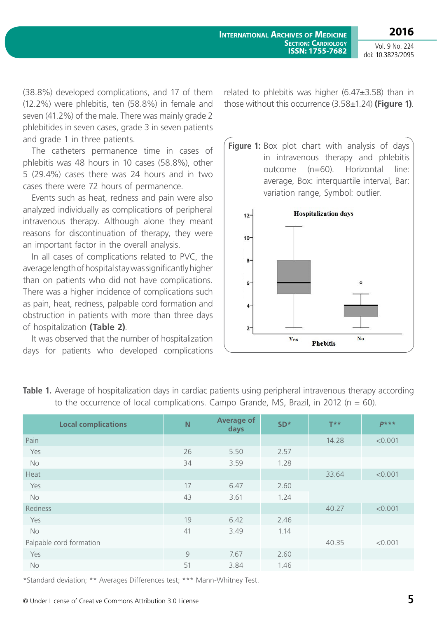(38.8%) developed complications, and 17 of them (12.2%) were phlebitis, ten (58.8%) in female and seven (41.2%) of the male. There was mainly grade 2 phlebitides in seven cases, grade 3 in seven patients and grade 1 in three patients.

The catheters permanence time in cases of phlebitis was 48 hours in 10 cases (58.8%), other 5 (29.4%) cases there was 24 hours and in two cases there were 72 hours of permanence.

Events such as heat, redness and pain were also analyzed individually as complications of peripheral intravenous therapy. Although alone they meant reasons for discontinuation of therapy, they were an important factor in the overall analysis.

In all cases of complications related to PVC, the average length of hospital stay was significantly higher than on patients who did not have complications. There was a higher incidence of complications such as pain, heat, redness, palpable cord formation and obstruction in patients with more than three days of hospitalization **(Table 2)**.

It was observed that the number of hospitalization days for patients who developed complications related to phlebitis was higher (6.47±3.58) than in those without this occurrence (3.58±1.24) **(Figure 1)**.

**Figure 1:** Box plot chart with analysis of days in intravenous therapy and phlebitis outcome (n=60). Horizontal line: average, Box: interquartile interval, Bar: variation range, Symbol: outlier.



| to the occurrence of local complications. Campo Grande, MS, Brazil, in 2012 ( $n = 60$ ). |    |                           |                 |                   |         |  |  |  |  |
|-------------------------------------------------------------------------------------------|----|---------------------------|-----------------|-------------------|---------|--|--|--|--|
| <b>Local complications</b>                                                                | N  | <b>Average of</b><br>days | SD <sup>*</sup> | $T^{\star \star}$ | $P***$  |  |  |  |  |
| Pain                                                                                      |    |                           |                 | 14.28             | < 0.001 |  |  |  |  |
| Yes                                                                                       | 26 | 5.50                      | 2.57            |                   |         |  |  |  |  |
| <b>No</b>                                                                                 | 34 | 3.59                      | 1.28            |                   |         |  |  |  |  |
| Heat                                                                                      |    |                           |                 | 33.64             | < 0.001 |  |  |  |  |
| Yes                                                                                       | 17 | 6.47                      | 2.60            |                   |         |  |  |  |  |
| No                                                                                        | 43 | 3.61                      | 1.24            |                   |         |  |  |  |  |
| Redness                                                                                   |    |                           |                 | 40.27             | < 0.001 |  |  |  |  |
| Yes                                                                                       | 19 | 6.42                      | 2.46            |                   |         |  |  |  |  |
| <b>No</b>                                                                                 | 41 | 3.49                      | 1.14            |                   |         |  |  |  |  |
| Palpable cord formation                                                                   |    |                           |                 | 40.35             | < 0.001 |  |  |  |  |
| Yes                                                                                       | 9  | 7.67                      | 2.60            |                   |         |  |  |  |  |
| <b>No</b>                                                                                 | 51 | 3.84                      | 1.46            |                   |         |  |  |  |  |

**Table 1.** Average of hospitalization days in cardiac patients using peripheral intravenous therapy according

\*Standard deviation; \*\* Averages Differences test; \*\*\* Mann-Whitney Test.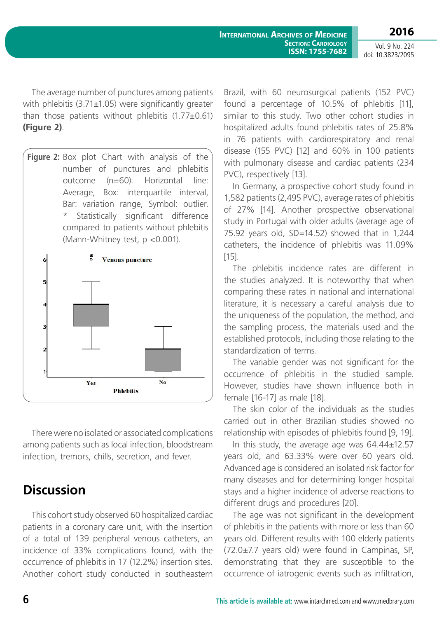The average number of punctures among patients with phlebitis (3.71±1.05) were significantly greater than those patients without phlebitis  $(1.77\pm0.61)$ **(Figure 2)**.





There were no isolated or associated complications among patients such as local infection, bloodstream infection, tremors, chills, secretion, and fever.

### **Discussion**

This cohort study observed 60 hospitalized cardiac patients in a coronary care unit, with the insertion of a total of 139 peripheral venous catheters, an incidence of 33% complications found, with the occurrence of phlebitis in 17 (12.2%) insertion sites. Another cohort study conducted in southeastern Brazil, with 60 neurosurgical patients (152 PVC) found a percentage of 10.5% of phlebitis [11], similar to this study. Two other cohort studies in hospitalized adults found phlebitis rates of 25.8% in 76 patients with cardiorespiratory and renal disease (155 PVC) [12] and 60% in 100 patients with pulmonary disease and cardiac patients (234 PVC), respectively [13].

In Germany, a prospective cohort study found in 1,582 patients (2,495 PVC), average rates of phlebitis of 27% [14]. Another prospective observational study in Portugal with older adults (average age of 75.92 years old, SD=14.52) showed that in 1,244 catheters, the incidence of phlebitis was 11.09% [15].

The phlebitis incidence rates are different in the studies analyzed. It is noteworthy that when comparing these rates in national and international literature, it is necessary a careful analysis due to the uniqueness of the population, the method, and the sampling process, the materials used and the established protocols, including those relating to the standardization of terms.

The variable gender was not significant for the occurrence of phlebitis in the studied sample. However, studies have shown influence both in female [16-17] as male [18].

The skin color of the individuals as the studies carried out in other Brazilian studies showed no relationship with episodes of phlebitis found [9, 19].

In this study, the average age was 64.44±12.57 years old, and 63.33% were over 60 years old. Advanced age is considered an isolated risk factor for many diseases and for determining longer hospital stays and a higher incidence of adverse reactions to different drugs and procedures [20].

The age was not significant in the development of phlebitis in the patients with more or less than 60 years old. Different results with 100 elderly patients (72.0±7.7 years old) were found in Campinas, SP, demonstrating that they are susceptible to the occurrence of iatrogenic events such as infiltration,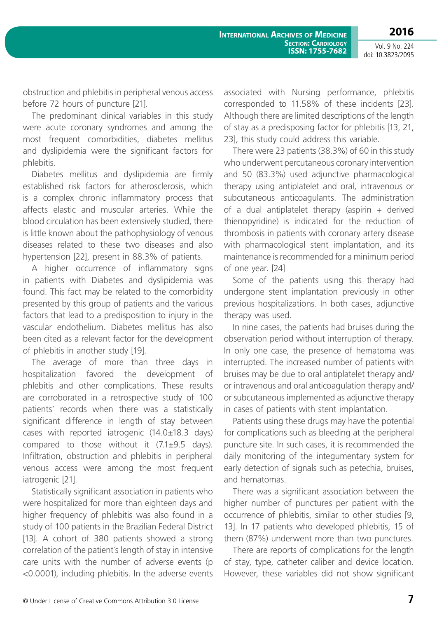obstruction and phlebitis in peripheral venous access before 72 hours of puncture [21].

The predominant clinical variables in this study were acute coronary syndromes and among the most frequent comorbidities, diabetes mellitus and dyslipidemia were the significant factors for phlebitis.

Diabetes mellitus and dyslipidemia are firmly established risk factors for atherosclerosis, which is a complex chronic inflammatory process that affects elastic and muscular arteries. While the blood circulation has been extensively studied, there is little known about the pathophysiology of venous diseases related to these two diseases and also hypertension [22], present in 88.3% of patients.

A higher occurrence of inflammatory signs in patients with Diabetes and dyslipidemia was found. This fact may be related to the comorbidity presented by this group of patients and the various factors that lead to a predisposition to injury in the vascular endothelium. Diabetes mellitus has also been cited as a relevant factor for the development of phlebitis in another study [19].

The average of more than three days in hospitalization favored the development of phlebitis and other complications. These results are corroborated in a retrospective study of 100 patients' records when there was a statistically significant difference in length of stay between cases with reported iatrogenic (14.0±18.3 days) compared to those without it  $(7.1\pm9.5$  days). Infiltration, obstruction and phlebitis in peripheral venous access were among the most frequent iatrogenic [21].

Statistically significant association in patients who were hospitalized for more than eighteen days and higher frequency of phlebitis was also found in a study of 100 patients in the Brazilian Federal District [13]. A cohort of 380 patients showed a strong correlation of the patient´s length of stay in intensive care units with the number of adverse events (p <0.0001), including phlebitis. In the adverse events associated with Nursing performance, phlebitis corresponded to 11.58% of these incidents [23]. Although there are limited descriptions of the length of stay as a predisposing factor for phlebitis [13, 21, 23], this study could address this variable.

There were 23 patients (38.3%) of 60 in this study who underwent percutaneous coronary intervention and 50 (83.3%) used adjunctive pharmacological therapy using antiplatelet and oral, intravenous or subcutaneous anticoagulants. The administration of a dual antiplatelet therapy (aspirin  $+$  derived thienopyridine) is indicated for the reduction of thrombosis in patients with coronary artery disease with pharmacological stent implantation, and its maintenance is recommended for a minimum period of one year. [24]

Some of the patients using this therapy had undergone stent implantation previously in other previous hospitalizations. In both cases, adjunctive therapy was used.

In nine cases, the patients had bruises during the observation period without interruption of therapy. In only one case, the presence of hematoma was interrupted. The increased number of patients with bruises may be due to oral antiplatelet therapy and/ or intravenous and oral anticoagulation therapy and/ or subcutaneous implemented as adjunctive therapy in cases of patients with stent implantation.

Patients using these drugs may have the potential for complications such as bleeding at the peripheral puncture site. In such cases, it is recommended the daily monitoring of the integumentary system for early detection of signals such as petechia, bruises, and hematomas.

There was a significant association between the higher number of punctures per patient with the occurrence of phlebitis, similar to other studies [9, 13]. In 17 patients who developed phlebitis, 15 of them (87%) underwent more than two punctures.

There are reports of complications for the length of stay, type, catheter caliber and device location. However, these variables did not show significant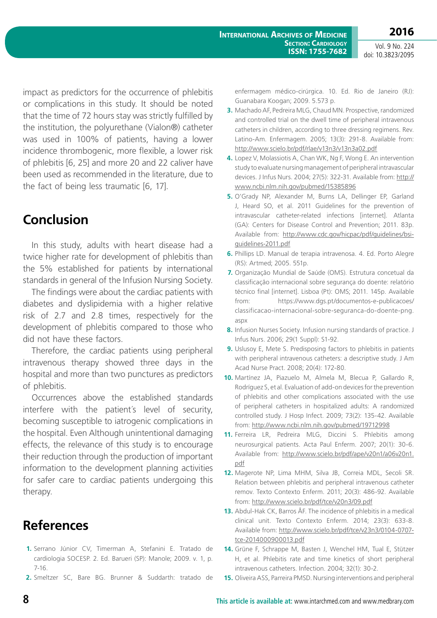impact as predictors for the occurrence of phlebitis or complications in this study. It should be noted that the time of 72 hours stay was strictly fulfilled by the institution, the polyurethane (Vialon®) catheter was used in 100% of patients, having a lower incidence thrombogenic, more flexible, a lower risk of phlebitis [6, 25] and more 20 and 22 caliver have been used as recommended in the literature, due to the fact of being less traumatic [6, 17].

# **Conclusion**

In this study, adults with heart disease had a twice higher rate for development of phlebitis than the 5% established for patients by international standards in general of the Infusion Nursing Society.

The findings were about the cardiac patients with diabetes and dyslipidemia with a higher relative risk of 2.7 and 2.8 times, respectively for the development of phlebitis compared to those who did not have these factors.

Therefore, the cardiac patients using peripheral intravenous therapy showed three days in the hospital and more than two punctures as predictors of phlebitis.

Occurrences above the established standards interfere with the patient´s level of security, becoming susceptible to iatrogenic complications in the hospital. Even Although unintentional damaging effects, the relevance of this study is to encourage their reduction through the production of important information to the development planning activities for safer care to cardiac patients undergoing this therapy.

# **References**

- **1.** Serrano Júnior CV, Timerman A, Stefanini E. Tratado de cardiologia SOCESP. 2. Ed. Barueri (SP): Manole; 2009. v. 1, p. 7-16.
- **2.** Smeltzer SC, Bare BG. Brunner & Suddarth: tratado de

enfermagem médico-cirúrgica. 10. Ed. Rio de Janeiro (RJ): Guanabara Koogan; 2009. 5.573 p.

- **3.** Machado AF, Pedreira MLG, Chaud MN. Prospective, randomized and controlled trial on the dwell time of peripheral intravenous catheters in children, according to three dressing regimens. Rev. Latino-Am. Enfermagem. 2005; 13(3): 291-8. Available from: <http://www.scielo.br/pdf/rlae/v13n3/v13n3a02.pdf>
- **4.** Lopez V, Molassiotis A, Chan WK, Ng F, Wong E. An intervention study to evaluate nursing management of peripheral intravascular devices. J Infus Nurs. 2004; 27(5): 322-31. Available from: [http://](http://www.ncbi.nlm.nih.gov/pubmed/15385896) [www.ncbi.nlm.nih.gov/pubmed/15385896](http://www.ncbi.nlm.nih.gov/pubmed/15385896)
- **5.** O'Grady NP, Alexander M, Burns LA, Dellinger EP, Garland J, Heard SO, et al. 2011 Guidelines for the prevention of intravascular catheter-related infections [internet]. Atlanta (GA): Centers for Disease Control and Prevention; 2011. 83p. Available from: [http://www.cdc.gov/hicpac/pdf/guidelines/bsi](http://www.cdc.gov/hicpac/pdf/guidelines/bsi-guidelines-2011.pdf)[guidelines-2011.pdf](http://www.cdc.gov/hicpac/pdf/guidelines/bsi-guidelines-2011.pdf)
- **6.** Phillips LD. Manual de terapia intravenosa. 4. Ed. Porto Alegre (RS): Artmed; 2005. 551p.
- **7.** Organização Mundial de Saúde (OMS). Estrutura concetual da classificação internacional sobre segurança do doente: relatório técnico final [internet]. Lisboa (Pt): OMS; 2011. 145p. Available from: [https://www.dgs.pt/documentos-e-publicacoes/](https://www.dgs.pt/documentos-e-publicacoes/classificacao-internacional-sobre-seguranca-do-doente-png.aspx) [classificacao-internacional-sobre-seguranca-do-doente-png.](https://www.dgs.pt/documentos-e-publicacoes/classificacao-internacional-sobre-seguranca-do-doente-png.aspx) [aspx](https://www.dgs.pt/documentos-e-publicacoes/classificacao-internacional-sobre-seguranca-do-doente-png.aspx)
- **8.** Infusion Nurses Society. Infusion nursing standards of practice. J Infus Nurs. 2006; 29(1 Suppl): S1-92.
- **9.** Uslusoy E, Mete S. Predisposing factors to phlebitis in patients with peripheral intravenous catheters: a descriptive study. J Am Acad Nurse Pract. 2008; 20(4): 172-80.
- **10.** Martínez JA, Piazuelo M, Almela M, Blecua P, Gallardo R, Rodríguez S, et al. Evaluation of add-on devices for the prevention of phlebitis and other complications associated with the use of peripheral catheters in hospitalized adults: A randomized controlled study. J Hosp Infect. 2009; 73(2): 135-42. Available from:<http://www.ncbi.nlm.nih.gov/pubmed/19712998>
- **11.** Ferreira LR, Pedreira MLG, Diccini S. Phlebitis among neurosurgical patients. Acta Paul Enferm. 2007; 20(1): 30-6. Available from: [http://www.scielo.br/pdf/ape/v20n1/a06v20n1.](http://www.scielo.br/pdf/ape/v20n1/a06v20n1.pdf) [pdf](http://www.scielo.br/pdf/ape/v20n1/a06v20n1.pdf)
- **12.** Magerote NP, Lima MHM, Silva JB, Correia MDL, Secoli SR. Relation between phlebitis and peripheral intravenous catheter remov. Texto Contexto Enferm. 2011; 20(3): 486-92. Available from:<http://www.scielo.br/pdf/tce/v20n3/09.pdf>
- **13.** Abdul-Hak CK, Barros ÂF. The incidence of phlebitis in a medical clinical unit. Texto Contexto Enferm. 2014; 23(3): 633-8. Available from: [http://www.scielo.br/pdf/tce/v23n3/0104-0707](http://www.scielo.br/pdf/tce/v23n3/0104-0707-tce-2014000900013.pdf) [tce-2014000900013.pdf](http://www.scielo.br/pdf/tce/v23n3/0104-0707-tce-2014000900013.pdf)
- **14.** Grüne F, Schrappe M, Basten J, Wenchel HM, Tual E, Stützer H, et al. Phlebitis rate and time kinetics of short peripheral intravenous catheters. Infection. 2004; 32(1): 30-2.
- **15.** Oliveira ASS, Parreira PMSD. Nursing interventions and peripheral